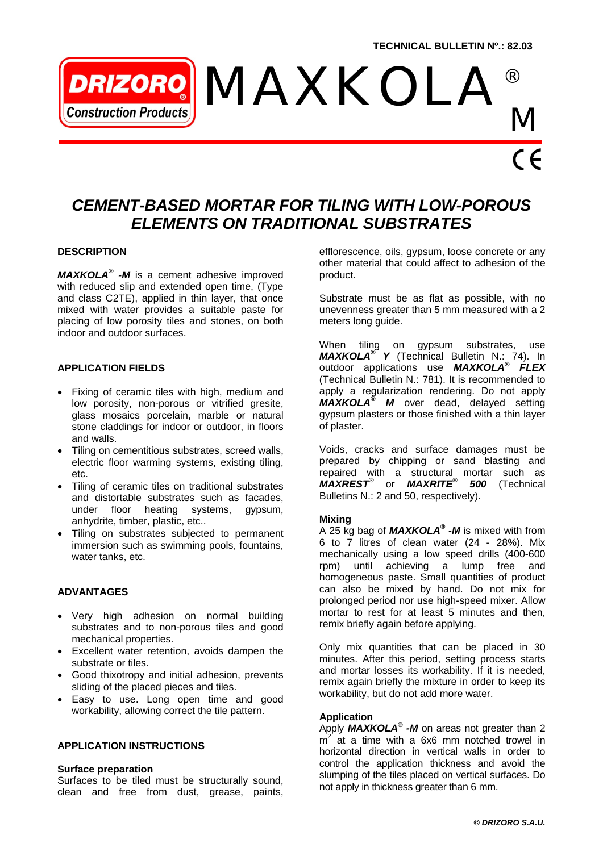# *MAXKOLA ®* **Ionstruction Products** *M*

### *CEMENT-BASED MORTAR FOR TILING WITH LOW-POROUS ELEMENTS ON TRADITIONAL SUBSTRATES*

#### **DESCRIPTION**

*MAXKOLA® -M* is a cement adhesive improved with reduced slip and extended open time, (Type and class C2TE), applied in thin layer, that once mixed with water provides a suitable paste for placing of low porosity tiles and stones, on both indoor and outdoor surfaces.

#### **APPLICATION FIELDS**

- Fixing of ceramic tiles with high, medium and low porosity, non-porous or vitrified gresite, glass mosaics porcelain, marble or natural stone claddings for indoor or outdoor, in floors and walls.
- Tiling on cementitious substrates, screed walls, electric floor warming systems, existing tiling, etc.
- Tiling of ceramic tiles on traditional substrates and distortable substrates such as facades, under floor heating systems, gypsum, anhydrite, timber, plastic, etc..
- Tiling on substrates subjected to permanent immersion such as swimming pools, fountains, water tanks, etc.

#### **ADVANTAGES**

- Very high adhesion on normal building substrates and to non-porous tiles and good mechanical properties.
- Excellent water retention, avoids dampen the substrate or tiles.
- Good thixotropy and initial adhesion, prevents sliding of the placed pieces and tiles.
- Easy to use. Long open time and good workability, allowing correct the tile pattern.

#### **APPLICATION INSTRUCTIONS**

#### **Surface preparation**

Surfaces to be tiled must be structurally sound, clean and free from dust, grease, paints, efflorescence, oils, gypsum, loose concrete or any other material that could affect to adhesion of the product.

Substrate must be as flat as possible, with no unevenness greater than 5 mm measured with a 2 meters long guide.

When tiling on gypsum substrates, use *MAXKOLA® Y* (Technical Bulletin N.: 74). In outdoor applications use *MAXKOLA® FLEX*  (Technical Bulletin N.: 781). It is recommended to apply a regularization rendering. Do not apply *MAXKOLA® M* over dead, delayed setting gypsum plasters or those finished with a thin layer of plaster.

Voids, cracks and surface damages must be prepared by chipping or sand blasting and repaired with a structural mortar such as *MAXREST®* or *MAXRITE® 500* (Technical Bulletins N.: 2 and 50, respectively).

#### **Mixing**

A 25 kg bag of *MAXKOLA® -M* is mixed with from 6 to 7 litres of clean water (24 - 28%). Mix mechanically using a low speed drills (400-600 rpm) until achieving a lump free and homogeneous paste. Small quantities of product can also be mixed by hand. Do not mix for prolonged period nor use high-speed mixer. Allow mortar to rest for at least 5 minutes and then, remix briefly again before applying.

Only mix quantities that can be placed in 30 minutes. After this period, setting process starts and mortar losses its workability. If it is needed, remix again briefly the mixture in order to keep its workability, but do not add more water.

#### **Application**

Apply **MAXKOLA<sup>®</sup>** -M on areas not greater than 2  $m^2$  at a time with a 6x6 mm notched trowel in horizontal direction in vertical walls in order to control the application thickness and avoid the slumping of the tiles placed on vertical surfaces. Do not apply in thickness greater than 6 mm.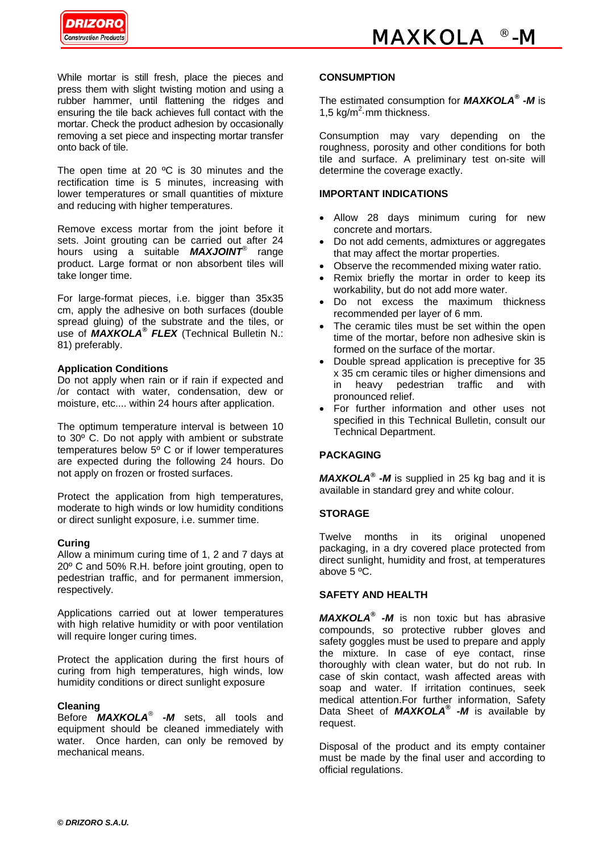

While mortar is still fresh, place the pieces and press them with slight twisting motion and using a rubber hammer, until flattening the ridges and ensuring the tile back achieves full contact with the mortar. Check the product adhesion by occasionally removing a set piece and inspecting mortar transfer onto back of tile.

The open time at 20 °C is 30 minutes and the rectification time is 5 minutes, increasing with lower temperatures or small quantities of mixture and reducing with higher temperatures.

Remove excess mortar from the joint before it sets. Joint grouting can be carried out after 24 hours using a suitable *MAXJOINT®* range product. Large format or non absorbent tiles will take longer time.

For large-format pieces, i.e. bigger than 35x35 cm, apply the adhesive on both surfaces (double spread gluing) of the substrate and the tiles, or use of *MAXKOLA® FLEX* (Technical Bulletin N.: 81) preferably.

#### **Application Conditions**

Do not apply when rain or if rain if expected and /or contact with water, condensation, dew or moisture, etc.... within 24 hours after application.

The optimum temperature interval is between 10 to 30º C. Do not apply with ambient or substrate temperatures below  $5^{\circ}$  C or if lower temperatures are expected during the following 24 hours. Do not apply on frozen or frosted surfaces.

Protect the application from high temperatures, moderate to high winds or low humidity conditions or direct sunlight exposure, i.e. summer time.

#### **Curing**

Allow a minimum curing time of 1, 2 and 7 days at 20º C and 50% R.H. before joint grouting, open to pedestrian traffic, and for permanent immersion, respectively.

Applications carried out at lower temperatures with high relative humidity or with poor ventilation will require longer curing times.

Protect the application during the first hours of curing from high temperatures, high winds, low humidity conditions or direct sunlight exposure

#### **Cleaning**

Before *MAXKOLA® -M* sets, all tools and equipment should be cleaned immediately with water. Once harden, can only be removed by mechanical means.

#### **CONSUMPTION**

The estimated consumption for *MAXKOLA® -M* is 1,5  $kg/m^2$  mm thickness.

Consumption may vary depending on the roughness, porosity and other conditions for both tile and surface. A preliminary test on-site will determine the coverage exactly.

#### **IMPORTANT INDICATIONS**

- Allow 28 days minimum curing for new concrete and mortars.
- Do not add cements, admixtures or aggregates that may affect the mortar properties.
- Observe the recommended mixing water ratio.
- Remix briefly the mortar in order to keep its workability, but do not add more water.
- Do not excess the maximum thickness recommended per layer of 6 mm.
- The ceramic tiles must be set within the open time of the mortar, before non adhesive skin is formed on the surface of the mortar.
- Double spread application is preceptive for 35 x 35 cm ceramic tiles or higher dimensions and in heavy pedestrian traffic and with pronounced relief.
- For further information and other uses not specified in this Technical Bulletin, consult our Technical Department.

#### **PACKAGING**

*MAXKOLA® -M* is supplied in 25 kg bag and it is available in standard grey and white colour.

#### **STORAGE**

Twelve months in its original unopened packaging, in a dry covered place protected from direct sunlight, humidity and frost, at temperatures above 5 ºC.

#### **SAFETY AND HEALTH**

*MAXKOLA® -M* is non toxic but has abrasive compounds, so protective rubber gloves and safety goggles must be used to prepare and apply the mixture. In case of eye contact, rinse thoroughly with clean water, but do not rub. In case of skin contact, wash affected areas with soap and water. If irritation continues, seek medical attention.For further information, Safety Data Sheet of *MAXKOLA® -M* is available by request.

Disposal of the product and its empty container must be made by the final user and according to official regulations.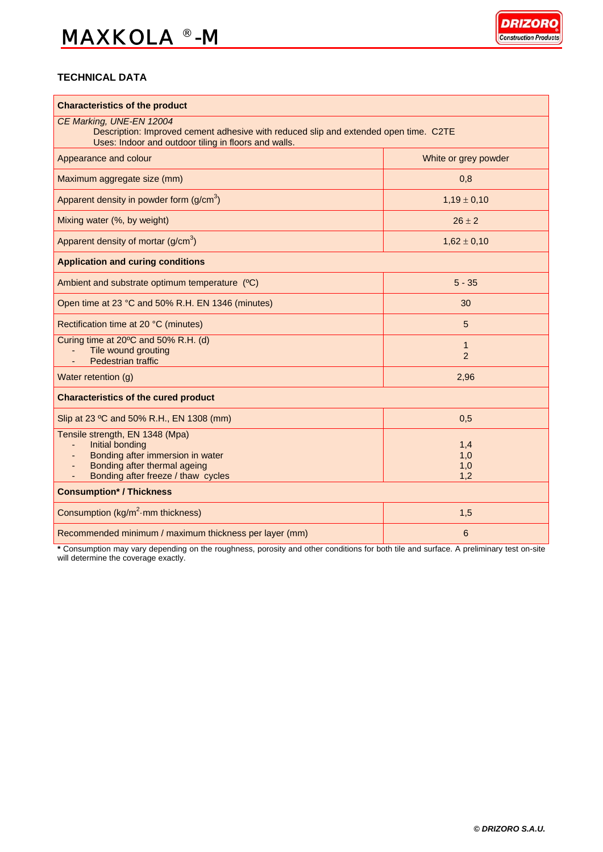## *MAXKOLA*  ® *-M*



#### **TECHNICAL DATA**

| <b>Characteristics of the product</b>                                                                                                                                    |                                |
|--------------------------------------------------------------------------------------------------------------------------------------------------------------------------|--------------------------------|
| CE Marking, UNE-EN 12004<br>Description: Improved cement adhesive with reduced slip and extended open time. C2TE<br>Uses: Indoor and outdoor tiling in floors and walls. |                                |
| Appearance and colour                                                                                                                                                    | White or grey powder           |
| Maximum aggregate size (mm)                                                                                                                                              | 0,8                            |
| Apparent density in powder form $(g/cm3)$                                                                                                                                | $1,19 \pm 0,10$                |
| Mixing water (%, by weight)                                                                                                                                              | $26 \pm 2$                     |
| Apparent density of mortar $(g/cm3)$                                                                                                                                     | $1,62 \pm 0,10$                |
| <b>Application and curing conditions</b>                                                                                                                                 |                                |
| Ambient and substrate optimum temperature (°C)                                                                                                                           | $5 - 35$                       |
| Open time at 23 °C and 50% R.H. EN 1346 (minutes)                                                                                                                        | 30                             |
| Rectification time at 20 °C (minutes)                                                                                                                                    | 5                              |
| Curing time at 20°C and 50% R.H. (d)<br>Tile wound grouting<br>Pedestrian traffic                                                                                        | $\mathbf{1}$<br>$\overline{2}$ |
| Water retention (g)                                                                                                                                                      | 2,96                           |
| <b>Characteristics of the cured product</b>                                                                                                                              |                                |
| Slip at 23 °C and 50% R.H., EN 1308 (mm)                                                                                                                                 | 0,5                            |
| Tensile strength, EN 1348 (Mpa)<br>Initial bonding<br>Bonding after immersion in water<br>Bonding after thermal ageing<br>Bonding after freeze / thaw cycles             | 1,4<br>1,0<br>1,0<br>1,2       |
| <b>Consumption* / Thickness</b>                                                                                                                                          |                                |
| Consumption (kg/m <sup>2</sup> ·mm thickness)                                                                                                                            | 1,5                            |
| Recommended minimum / maximum thickness per layer (mm)                                                                                                                   | 6                              |

**\*** Consumption may vary depending on the roughness, porosity and other conditions for both tile and surface. A preliminary test on-site will determine the coverage exactly.